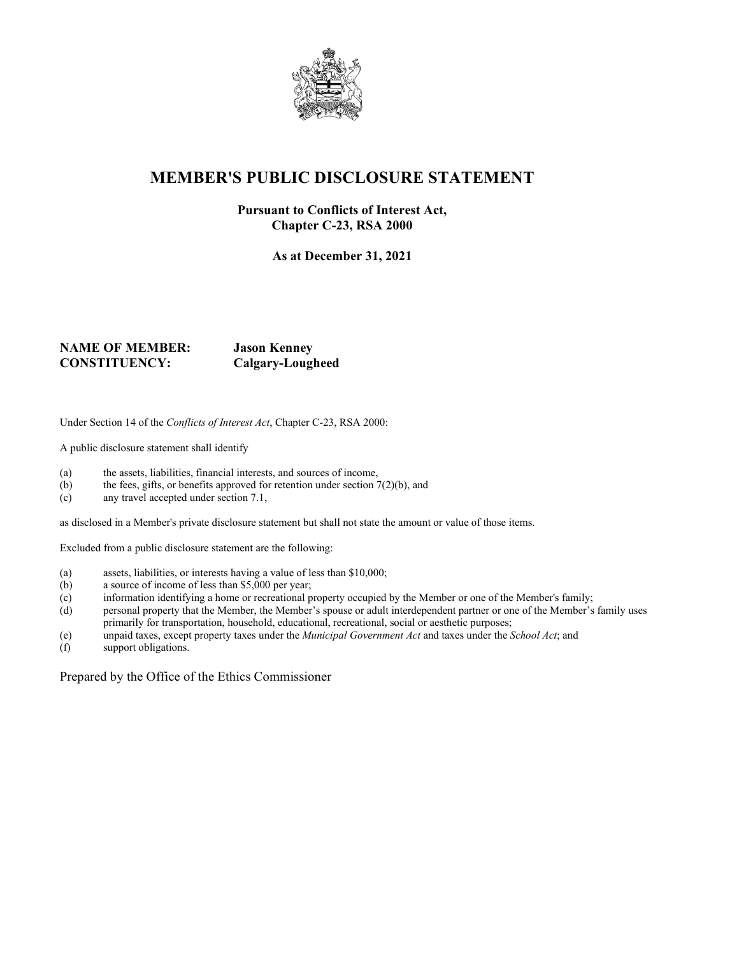

## **MEMBER'S PUBLIC DISCLOSURE STATEMENT**

## **Pursuant to Conflicts of Interest Act, Chapter C-23, RSA 2000**

**As at December 31, 2021**

## **NAME OF MEMBER: Jason Kenney CONSTITUENCY: Calgary-Lougheed**

Under Section 14 of the *Conflicts of Interest Act*, Chapter C-23, RSA 2000:

A public disclosure statement shall identify

- (a) the assets, liabilities, financial interests, and sources of income,<br>(b) the fees, gifts, or benefits approved for retention under section 7
- the fees, gifts, or benefits approved for retention under section  $7(2)(b)$ , and
- (c) any travel accepted under section 7.1,

as disclosed in a Member's private disclosure statement but shall not state the amount or value of those items.

Excluded from a public disclosure statement are the following:

- (a) assets, liabilities, or interests having a value of less than \$10,000;
- (b) a source of income of less than \$5,000 per year;
- (c) information identifying a home or recreational property occupied by the Member or one of the Member's family;
- (d) personal property that the Member, the Member's spouse or adult interdependent partner or one of the Member's family uses primarily for transportation, household, educational, recreational, social or aesthetic purposes;
- (e) unpaid taxes, except property taxes under the *Municipal Government Act* and taxes under the *School Act*; and
- (f) support obligations.

Prepared by the Office of the Ethics Commissioner